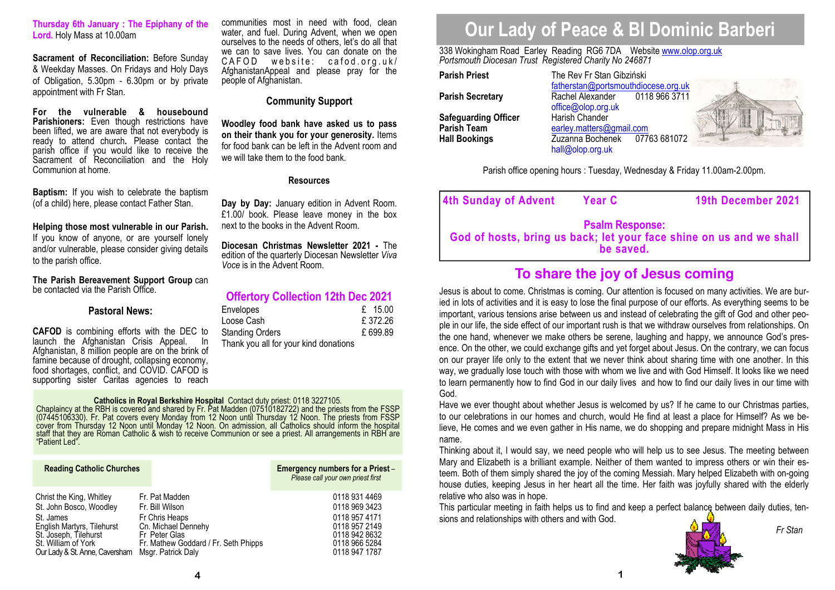**Thursday 6th January : The Epiphany of the Lord.** Holy Mass at 10.00am

**Sacrament of Reconciliation:** Before Sunday & Weekday Masses. On Fridays and Holy Days of Obligation, 5.30pm - 6.30pm or by private appointment with Fr Stan.

**For the vulnerable & housebound Parishioners:** Even though restrictions have been lifted, we are aware that not everybody is ready to attend church**.** Please contact the parish office if you would like to receive the Sacrament of Reconciliation and the Holy Communion at home.

**Baptism:** If you wish to celebrate the baptism (of a child) here, please contact Father Stan.

### **Helping those most vulnerable in our Parish.**

 If you know of anyone, or are yourself lonely and/or vulnerable, please consider giving details to the parish office.

**The Parish Bereavement Support Group** can be contacted via the Parish Office.

## **Pastoral News:**

**CAFOD** is combining efforts with the DEC to launch the Afghanistan Crisis Appeal. In Afghanistan, 8 million people are on the brink of famine because of drought, collapsing economy, food shortages, conflict, and COVID. CAFOD is supporting sister Caritas agencies to reach

communities most in need with food, clean water, and fuel. During Advent, when we open ourselves to the needs of others, let's do all that we can to save lives. You can donate on the CAFOD website: cafod.org.uk/ AfghanistanAppeal and please pray for the people of Afghanistan.

## **Community Support**

**Woodley food bank have asked us to pass on their thank you for your generosity.** Items for food bank can be left in the Advent room and we will take them to the food bank.

## **Resources**

**Day by Day:** January edition in Advent Room. £1.00/ book. Please leave money in the box next to the books in the Advent Room.

**Diocesan Christmas Newsletter 2021 -** The edition of the quarterly Diocesan Newsletter *Viva Voce* is in the Advent Room.

## **Offertory Collection 12th Dec 2021**

| Envelopes                             | £ $15.00$ |
|---------------------------------------|-----------|
| Loose Cash                            | £372.26   |
| Standing Orders                       | £ 699.89  |
| Thank you all for your kind donations |           |

**Catholics in Royal Berkshire Hospital** Contact duty priest: 0118 3227105.<br>Chaplaincy at the RBH is covered and shared by Fr. Pat Madden (07510182722) and the priests from the FSSP<br>(07445106330). Fr. Pat covers every Monda

| <b>Reading Catholic Churches</b> |                                      | Emergency numbers for a Priest -<br>Please call your own priest first |
|----------------------------------|--------------------------------------|-----------------------------------------------------------------------|
| Christ the King, Whitley         | Fr. Pat Madden                       | 0118 931 4469                                                         |
| St. John Bosco, Woodley          | Fr. Bill Wilson                      | 0118 969 3423                                                         |
| St. James                        | Fr Chris Heaps                       | 0118 957 4171                                                         |
| English Martyrs, Tilehurst       | Cn. Michael Dennehy                  | 0118 957 2149                                                         |
| St. Joseph, Tilehurst            | Fr Peter Glas                        | 0118 942 8632                                                         |
| St. William of York              | Fr. Mathew Goddard / Fr. Seth Phipps | 0118 966 5284                                                         |
| Our Lady & St. Anne, Caversham   | Msgr. Patrick Daly                   | 0118 947 1787                                                         |

# **Our Lady of Peace & Bl Dominic Barberi**

338 Wokingham Road Earley Reading RG6 7DA Website www.olop.org.uk*Portsmouth Diocesan Trust Registered Charity No 246871* 

**Parish Priest** The Rev Fr Stan Gibziński **Parish Secretary Rachel Alexander Safeguarding Officer<br>Parish Team Hall Bookings** *Zuzanna Bochenek* 

 fatherstan@portsmouthdiocese.org.uk0118 966 3711 office@olop.org.uk<br>Harish Chander Parish Team **beat and Communist Communist Parish Team** earley.matters@gmail.com 07763 681072 hall@olop.org.uk



Parish office opening hours : Tuesday, Wednesday & Friday 11.00am-2.00pm.

| 4th Sunday of Advent                                                                                       | <b>Year C</b> | 19th December 2021 |  |  |
|------------------------------------------------------------------------------------------------------------|---------------|--------------------|--|--|
| <b>Psalm Response:</b><br>God of hosts, bring us back; let your face shine on us and we shall<br>be saved. |               |                    |  |  |

## **To share the joy of Jesus coming**

Jesus is about to come. Christmas is coming. Our attention is focused on many activities. We are buried in lots of activities and it is easy to lose the final purpose of our efforts. As everything seems to be important, various tensions arise between us and instead of celebrating the gift of God and other people in our life, the side effect of our important rush is that we withdraw ourselves from relationships. On the one hand, whenever we make others be serene, laughing and happy, we announce God's presence. On the other, we could exchange gifts and yet forget about Jesus. On the contrary, we can focus on our prayer life only to the extent that we never think about sharing time with one another. In this way, we gradually lose touch with those with whom we live and with God Himself. It looks like we need to learn permanently how to find God in our daily lives and how to find our daily lives in our time with God.

 Have we ever thought about whether Jesus is welcomed by us? If he came to our Christmas parties, to our celebrations in our homes and church, would He find at least a place for Himself? As we believe, He comes and we even gather in His name, we do shopping and prepare midnight Mass in His name.

 Thinking about it, I would say, we need people who will help us to see Jesus. The meeting between Mary and Elizabeth is a brilliant example. Neither of them wanted to impress others or win their esteem. Both of them simply shared the joy of the coming Messiah. Mary helped Elizabeth with on-going house duties, keeping Jesus in her heart all the time. Her faith was joyfully shared with the elderly relative who also was in hope.

This particular meeting in faith helps us to find and keep a perfect balance between daily duties, tensions and relationships with others and with God.



*Fr Stan*